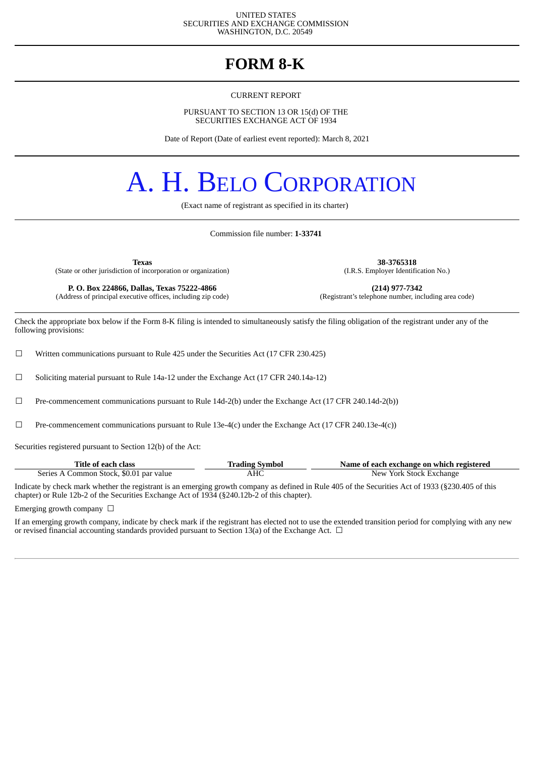#### UNITED STATES SECURITIES AND EXCHANGE COMMISSION WASHINGTON, D.C. 20549

### **FORM 8-K**

CURRENT REPORT

PURSUANT TO SECTION 13 OR 15(d) OF THE SECURITIES EXCHANGE ACT OF 1934

Date of Report (Date of earliest event reported): March 8, 2021

# A. H. BELO CORPORATION

(Exact name of registrant as specified in its charter)

Commission file number: **1-33741**

**Texas 38-3765318** (State or other jurisdiction of incorporation or organization)

(Address of principal executive offices, including zip code)

**P. O. Box 224866, Dallas, Texas 75222-4866** (214) **(214) 977-7342** (dress of principal executive offices, including zip code) (Registrant's telephone number, including area code)

Check the appropriate box below if the Form 8-K filing is intended to simultaneously satisfy the filing obligation of the registrant under any of the following provisions:

 $\Box$  Written communications pursuant to Rule 425 under the Securities Act (17 CFR 230.425)

 $\Box$  Soliciting material pursuant to Rule 14a-12 under the Exchange Act (17 CFR 240.14a-12)

☐ Pre-commencement communications pursuant to Rule 14d-2(b) under the Exchange Act (17 CFR 240.14d-2(b))

 $□$  Pre-commencement communications pursuant to Rule 13e-4(c) under the Exchange Act (17 CFR 240.13e-4(c))

Securities registered pursuant to Section 12(b) of the Act:

| Title of each class                     | <b>Trading Symbol</b> | Name of each exchange on which registered |
|-----------------------------------------|-----------------------|-------------------------------------------|
| Series A Common Stock, \$0.01 par value | AHC                   | New York Stock Exchange                   |

Indicate by check mark whether the registrant is an emerging growth company as defined in Rule 405 of the Securities Act of 1933 (§230.405 of this chapter) or Rule 12b-2 of the Securities Exchange Act of 1934 (§240.12b-2 of this chapter).

Emerging growth company  $\Box$ 

If an emerging growth company, indicate by check mark if the registrant has elected not to use the extended transition period for complying with any new or revised financial accounting standards provided pursuant to Section 13(a) of the Exchange Act.  $\Box$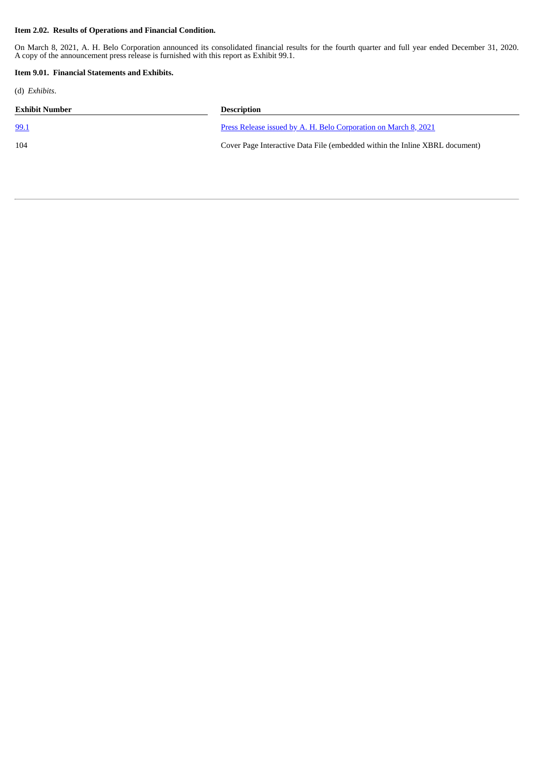#### **Item 2.02. Results of Operations and Financial Condition.**

On March 8, 2021, A. H. Belo Corporation announced its consolidated financial results for the fourth quarter and full year ended December 31, 2020. A copy of the announcement press release is furnished with this report as Exhibit 99.1.

#### **Item 9.01. Financial Statements and Exhibits.**

(d) *Exhibits*.

| Exhibit Number | <b>Description</b>                                                          |
|----------------|-----------------------------------------------------------------------------|
| <u>99.1</u>    | Press Release issued by A. H. Belo Corporation on March 8, 2021             |
| 104            | Cover Page Interactive Data File (embedded within the Inline XBRL document) |
|                |                                                                             |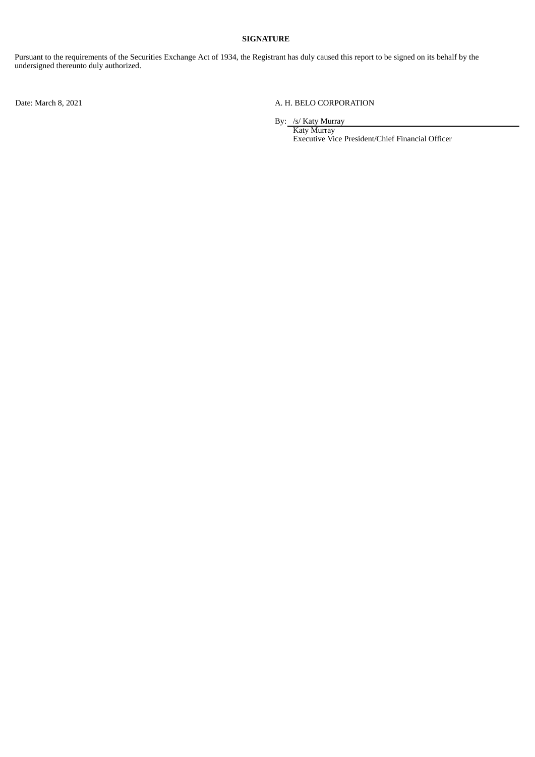#### **SIGNATURE**

Pursuant to the requirements of the Securities Exchange Act of 1934, the Registrant has duly caused this report to be signed on its behalf by the undersigned thereunto duly authorized.

#### Date: March 8, 2021 <br>
A. H. BELO CORPORATION

By: /s/ Katy Murray

Katy Murray Executive Vice President/Chief Financial Officer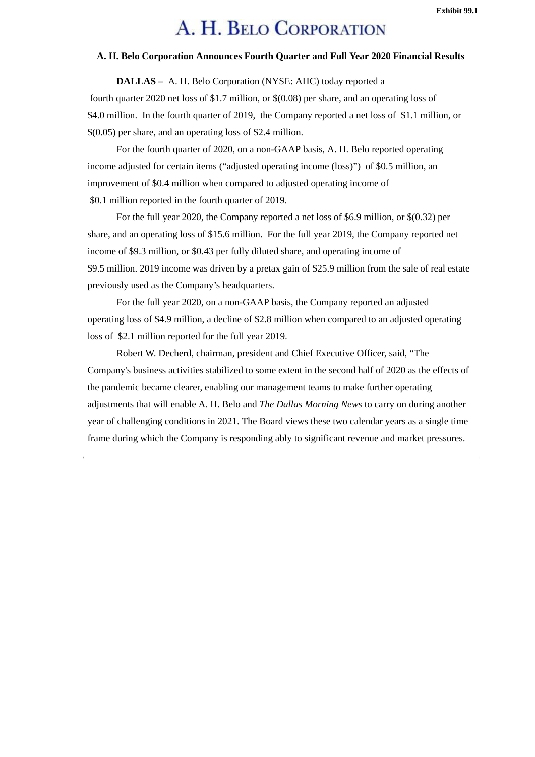## A. H. BELO CORPORATION

#### <span id="page-3-0"></span>**A. H. Belo Corporation Announces Fourth Quarter and Full Year 2020 Financial Results**

**DALLAS –** A. H. Belo Corporation (NYSE: AHC) today reported a

fourth quarter 2020 net loss of \$1.7 million, or \$(0.08) per share, and an operating loss of \$4.0 million. In the fourth quarter of 2019, the Company reported a net loss of \$1.1 million, or \$(0.05) per share, and an operating loss of \$2.4 million.

For the fourth quarter of 2020, on a non-GAAP basis, A. H. Belo reported operating income adjusted for certain items ("adjusted operating income (loss)") of \$0.5 million, an improvement of \$0.4 million when compared to adjusted operating income of \$0.1 million reported in the fourth quarter of 2019.

For the full year 2020, the Company reported a net loss of \$6.9 million, or \$(0.32) per share, and an operating loss of \$15.6 million. For the full year 2019, the Company reported net income of \$9.3 million, or \$0.43 per fully diluted share, and operating income of \$9.5 million. 2019 income was driven by a pretax gain of \$25.9 million from the sale of real estate previously used as the Company's headquarters.

For the full year 2020, on a non-GAAP basis, the Company reported an adjusted operating loss of \$4.9 million, a decline of \$2.8 million when compared to an adjusted operating loss of \$2.1 million reported for the full year 2019.

Robert W. Decherd, chairman, president and Chief Executive Officer, said, "The Company's business activities stabilized to some extent in the second half of 2020 as the effects of the pandemic became clearer, enabling our management teams to make further operating adjustments that will enable A. H. Belo and *The Dallas Morning News* to carry on during another year of challenging conditions in 2021. The Board views these two calendar years as a single time frame during which the Company is responding ably to significant revenue and market pressures.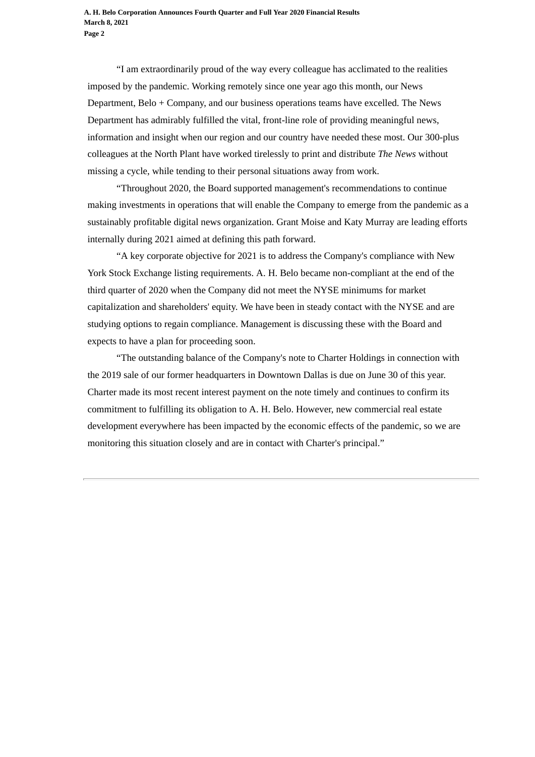"I am extraordinarily proud of the way every colleague has acclimated to the realities imposed by the pandemic. Working remotely since one year ago this month, our News Department, Belo + Company, and our business operations teams have excelled. The News Department has admirably fulfilled the vital, front-line role of providing meaningful news, information and insight when our region and our country have needed these most. Our 300-plus colleagues at the North Plant have worked tirelessly to print and distribute *The News* without missing a cycle, while tending to their personal situations away from work.

"Throughout 2020, the Board supported management's recommendations to continue making investments in operations that will enable the Company to emerge from the pandemic as a sustainably profitable digital news organization. Grant Moise and Katy Murray are leading efforts internally during 2021 aimed at defining this path forward.

"A key corporate objective for 2021 is to address the Company's compliance with New York Stock Exchange listing requirements. A. H. Belo became non-compliant at the end of the third quarter of 2020 when the Company did not meet the NYSE minimums for market capitalization and shareholders' equity. We have been in steady contact with the NYSE and are studying options to regain compliance. Management is discussing these with the Board and expects to have a plan for proceeding soon.

"The outstanding balance of the Company's note to Charter Holdings in connection with the 2019 sale of our former headquarters in Downtown Dallas is due on June 30 of this year. Charter made its most recent interest payment on the note timely and continues to confirm its commitment to fulfilling its obligation to A. H. Belo. However, new commercial real estate development everywhere has been impacted by the economic effects of the pandemic, so we are monitoring this situation closely and are in contact with Charter's principal."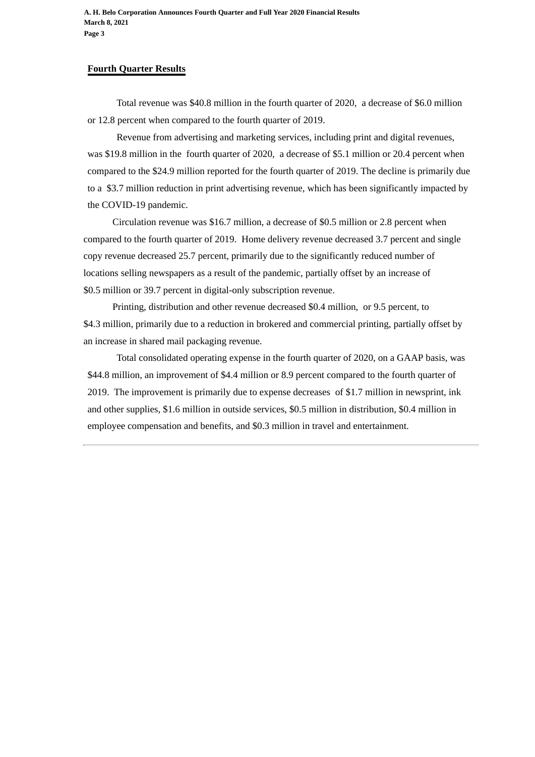#### **Fourth Quarter Results**

Total revenue was \$40.8 million in the fourth quarter of 2020, a decrease of \$6.0 million or 12.8 percent when compared to the fourth quarter of 2019.

Revenue from advertising and marketing services, including print and digital revenues, was \$19.8 million in the fourth quarter of 2020, a decrease of \$5.1 million or 20.4 percent when compared to the \$24.9 million reported for the fourth quarter of 2019. The decline is primarily due to a \$3.7 million reduction in print advertising revenue, which has been significantly impacted by the COVID-19 pandemic.

Circulation revenue was \$16.7 million, a decrease of \$0.5 million or 2.8 percent when compared to the fourth quarter of 2019. Home delivery revenue decreased 3.7 percent and single copy revenue decreased 25.7 percent, primarily due to the significantly reduced number of locations selling newspapers as a result of the pandemic, partially offset by an increase of \$0.5 million or 39.7 percent in digital-only subscription revenue.

Printing, distribution and other revenue decreased \$0.4 million, or 9.5 percent, to \$4.3 million, primarily due to a reduction in brokered and commercial printing, partially offset by an increase in shared mail packaging revenue.

Total consolidated operating expense in the fourth quarter of 2020, on a GAAP basis, was \$44.8 million, an improvement of \$4.4 million or 8.9 percent compared to the fourth quarter of 2019. The improvement is primarily due to expense decreases of \$1.7 million in newsprint, ink and other supplies, \$1.6 million in outside services, \$0.5 million in distribution, \$0.4 million in employee compensation and benefits, and \$0.3 million in travel and entertainment.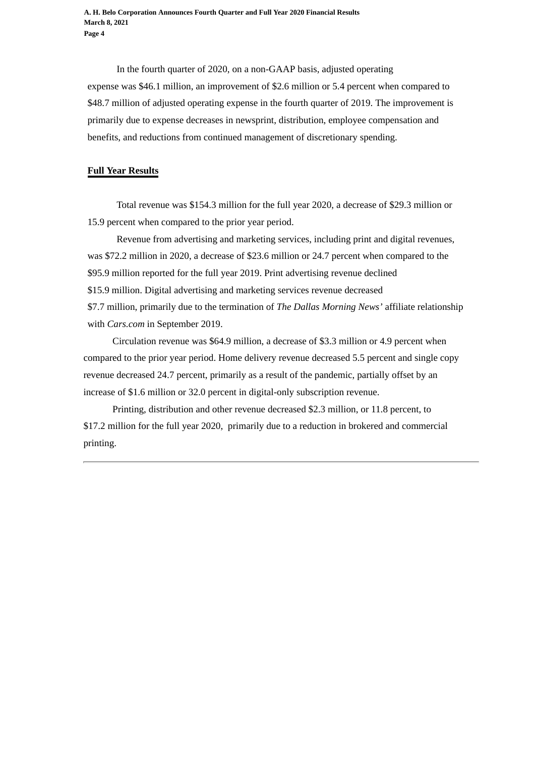In the fourth quarter of 2020, on a non-GAAP basis, adjusted operating expense was \$46.1 million, an improvement of \$2.6 million or 5.4 percent when compared to \$48.7 million of adjusted operating expense in the fourth quarter of 2019. The improvement is primarily due to expense decreases in newsprint, distribution, employee compensation and benefits, and reductions from continued management of discretionary spending.

#### **Full Year Results**

Total revenue was \$154.3 million for the full year 2020, a decrease of \$29.3 million or 15.9 percent when compared to the prior year period.

Revenue from advertising and marketing services, including print and digital revenues, was \$72.2 million in 2020, a decrease of \$23.6 million or 24.7 percent when compared to the \$95.9 million reported for the full year 2019. Print advertising revenue declined \$15.9 million. Digital advertising and marketing services revenue decreased \$7.7 million, primarily due to the termination of *The Dallas Morning News'* affiliate relationship with *Cars.com* in September 2019.

Circulation revenue was \$64.9 million, a decrease of \$3.3 million or 4.9 percent when compared to the prior year period. Home delivery revenue decreased 5.5 percent and single copy revenue decreased 24.7 percent, primarily as a result of the pandemic, partially offset by an increase of \$1.6 million or 32.0 percent in digital-only subscription revenue.

Printing, distribution and other revenue decreased \$2.3 million, or 11.8 percent, to \$17.2 million for the full year 2020, primarily due to a reduction in brokered and commercial printing.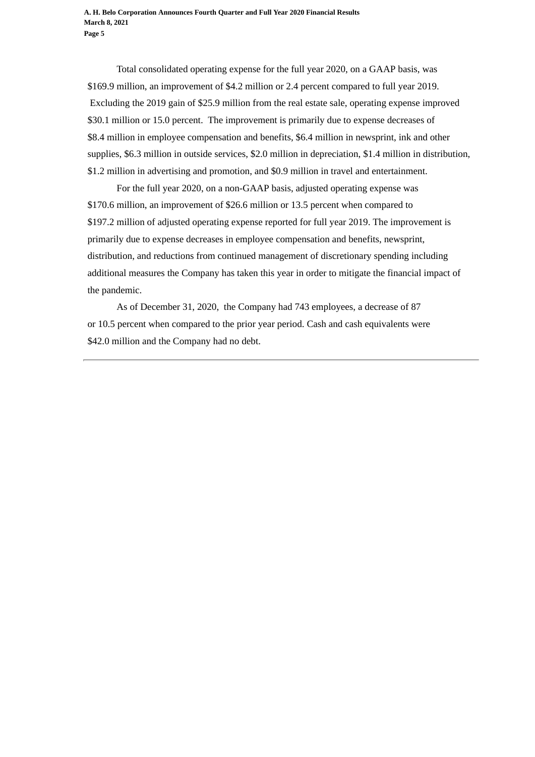Total consolidated operating expense for the full year 2020, on a GAAP basis, was \$169.9 million, an improvement of \$4.2 million or 2.4 percent compared to full year 2019. Excluding the 2019 gain of \$25.9 million from the real estate sale, operating expense improved \$30.1 million or 15.0 percent. The improvement is primarily due to expense decreases of \$8.4 million in employee compensation and benefits, \$6.4 million in newsprint, ink and other supplies, \$6.3 million in outside services, \$2.0 million in depreciation, \$1.4 million in distribution, \$1.2 million in advertising and promotion, and \$0.9 million in travel and entertainment.

For the full year 2020, on a non-GAAP basis, adjusted operating expense was \$170.6 million, an improvement of \$26.6 million or 13.5 percent when compared to \$197.2 million of adjusted operating expense reported for full year 2019. The improvement is primarily due to expense decreases in employee compensation and benefits, newsprint, distribution, and reductions from continued management of discretionary spending including additional measures the Company has taken this year in order to mitigate the financial impact of the pandemic.

As of December 31, 2020, the Company had 743 employees, a decrease of 87 or 10.5 percent when compared to the prior year period. Cash and cash equivalents were \$42.0 million and the Company had no debt.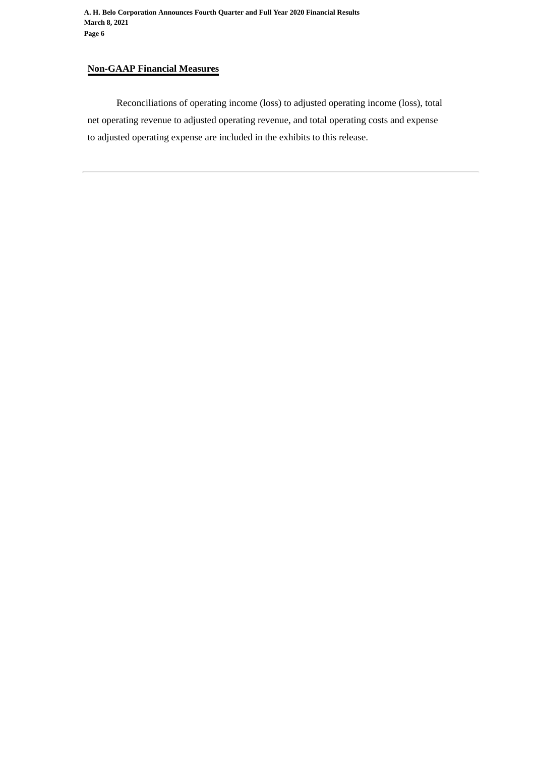#### **Non-GAAP Financial Measures**

Reconciliations of operating income (loss) to adjusted operating income (loss), total net operating revenue to adjusted operating revenue, and total operating costs and expense to adjusted operating expense are included in the exhibits to this release.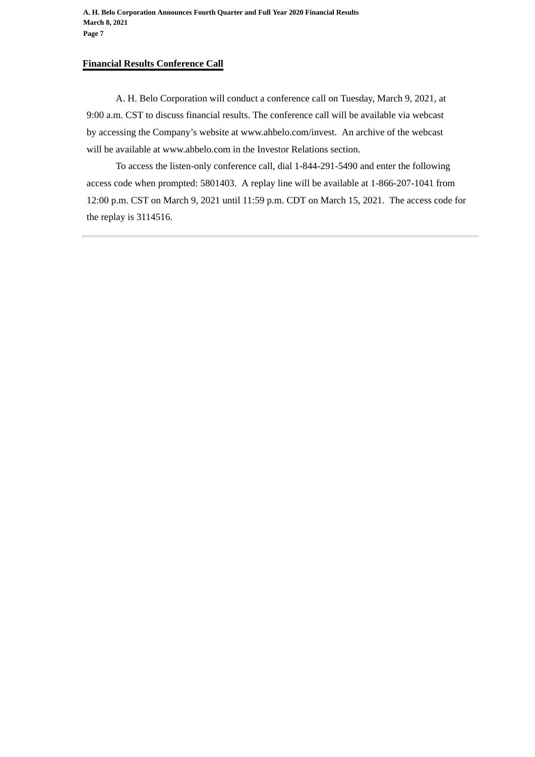#### **Financial Results Conference Call**

A. H. Belo Corporation will conduct a conference call on Tuesday, March 9, 2021, at 9:00 a.m. CST to discuss financial results. The conference call will be available via webcast by accessing the Company's website at www.ahbelo.com/invest. An archive of the webcast will be available at www.ahbelo.com in the Investor Relations section.

To access the listen-only conference call, dial 1-844-291-5490 and enter the following access code when prompted: 5801403. A replay line will be available at 1-866-207-1041 from 12:00 p.m. CST on March 9, 2021 until 11:59 p.m. CDT on March 15, 2021. The access code for the replay is 3114516.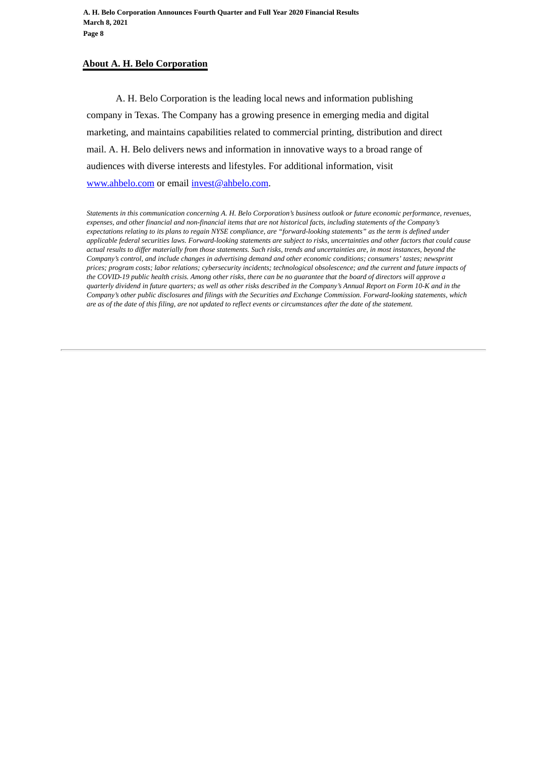#### **About A. H. Belo Corporation**

A. H. Belo Corporation is the leading local news and information publishing company in Texas. The Company has a growing presence in emerging media and digital marketing, and maintains capabilities related to commercial printing, distribution and direct mail. A. H. Belo delivers news and information in innovative ways to a broad range of audiences with diverse interests and lifestyles. For additional information, visit www.ahbelo.com or email invest@ahbelo.com.

*Statements in this communication concerning A. H. Belo Corporation's business outlook or future economic performance, revenues, expenses, and other financial and non-financial items that are not historical facts, including statements of the Company's expectations relating to its plans to regain NYSE compliance, are "forward-looking statements" as the term is defined under applicable federal securities laws. Forward-looking statements are subject to risks, uncertainties and other factors that could cause actual results to differ materially from those statements. Such risks, trends and uncertainties are, in most instances, beyond the Company's control, and include changes in advertising demand and other economic conditions; consumers' tastes; newsprint prices; program costs; labor relations; cybersecurity incidents; technological obsolescence; and the current and future impacts of the COVID-19 public health crisis. Among other risks, there can be no guarantee that the board of directors will approve a quarterly dividend in future quarters; as well as other risks described in the Company's Annual Report on Form 10-K and in the Company's other public disclosures and filings with the Securities and Exchange Commission. Forward-looking statements, which are as of the date of this filing, are not updated to reflect events or circumstances after the date of the statement.*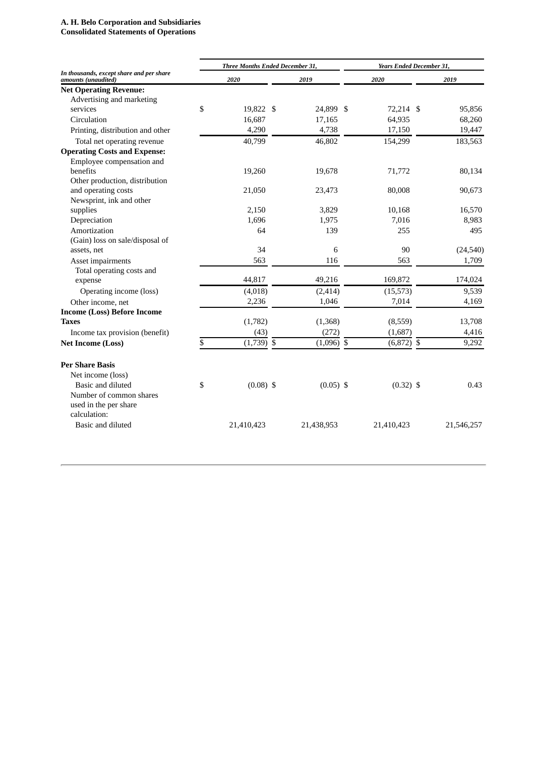#### **A. H. Belo Corporation and Subsidiaries**

**Consolidated Statements of Operations**

|                                                                 |      | Three Months Ended December 31, |              | <b>Years Ended December 31,</b> |              |  |            |  |
|-----------------------------------------------------------------|------|---------------------------------|--------------|---------------------------------|--------------|--|------------|--|
| In thousands, except share and per share<br>amounts (unaudited) | 2020 |                                 | 2019         |                                 | 2020         |  | 2019       |  |
| <b>Net Operating Revenue:</b>                                   |      |                                 |              |                                 |              |  |            |  |
| Advertising and marketing                                       |      |                                 |              |                                 |              |  |            |  |
| services                                                        | \$   | 19,822 \$                       | 24,899 \$    |                                 | 72,214 \$    |  | 95,856     |  |
| Circulation                                                     |      | 16,687                          | 17,165       |                                 | 64,935       |  | 68,260     |  |
| Printing, distribution and other                                |      | 4,290                           | 4,738        |                                 | 17,150       |  | 19,447     |  |
| Total net operating revenue                                     |      | 40,799                          | 46,802       |                                 | 154,299      |  | 183,563    |  |
| <b>Operating Costs and Expense:</b>                             |      |                                 |              |                                 |              |  |            |  |
| Employee compensation and                                       |      |                                 |              |                                 |              |  |            |  |
| benefits                                                        |      | 19,260                          | 19,678       |                                 | 71,772       |  | 80,134     |  |
| Other production, distribution                                  |      |                                 |              |                                 |              |  |            |  |
| and operating costs                                             |      | 21,050                          | 23,473       |                                 | 80,008       |  | 90,673     |  |
| Newsprint, ink and other                                        |      |                                 |              |                                 |              |  |            |  |
| supplies                                                        |      | 2,150                           | 3,829        |                                 | 10,168       |  | 16,570     |  |
| Depreciation                                                    |      | 1,696                           | 1,975        |                                 | 7,016        |  | 8,983      |  |
| Amortization                                                    |      | 64                              | 139          |                                 | 255          |  | 495        |  |
| (Gain) loss on sale/disposal of                                 |      |                                 |              |                                 |              |  |            |  |
| assets, net                                                     |      | 34                              | 6            |                                 | 90           |  | (24, 540)  |  |
| Asset impairments                                               |      | 563                             | 116          |                                 | 563          |  | 1,709      |  |
| Total operating costs and                                       |      |                                 |              |                                 |              |  |            |  |
| expense                                                         |      | 44,817                          | 49,216       |                                 | 169,872      |  | 174,024    |  |
| Operating income (loss)                                         |      | (4,018)                         | (2, 414)     |                                 | (15, 573)    |  | 9,539      |  |
| Other income, net                                               |      | 2,236                           | 1,046        |                                 | 7,014        |  | 4,169      |  |
| <b>Income (Loss) Before Income</b>                              |      |                                 |              |                                 |              |  |            |  |
| <b>Taxes</b>                                                    |      | (1,782)                         | (1,368)      |                                 | (8,559)      |  | 13,708     |  |
| Income tax provision (benefit)                                  |      | (43)                            | (272)        |                                 | (1,687)      |  | 4,416      |  |
| <b>Net Income (Loss)</b>                                        | \$   | $(1,739)$ \$                    | $(1,096)$ \$ |                                 | $(6,872)$ \$ |  | 9,292      |  |
| <b>Per Share Basis</b>                                          |      |                                 |              |                                 |              |  |            |  |
| Net income (loss)                                               |      |                                 |              |                                 |              |  |            |  |
| Basic and diluted                                               | \$   | $(0.08)$ \$                     | $(0.05)$ \$  |                                 | $(0.32)$ \$  |  | 0.43       |  |
| Number of common shares                                         |      |                                 |              |                                 |              |  |            |  |
| used in the per share                                           |      |                                 |              |                                 |              |  |            |  |
| calculation:                                                    |      |                                 |              |                                 |              |  |            |  |
| Basic and diluted                                               |      | 21,410,423                      | 21,438,953   |                                 | 21,410,423   |  | 21,546,257 |  |
|                                                                 |      |                                 |              |                                 |              |  |            |  |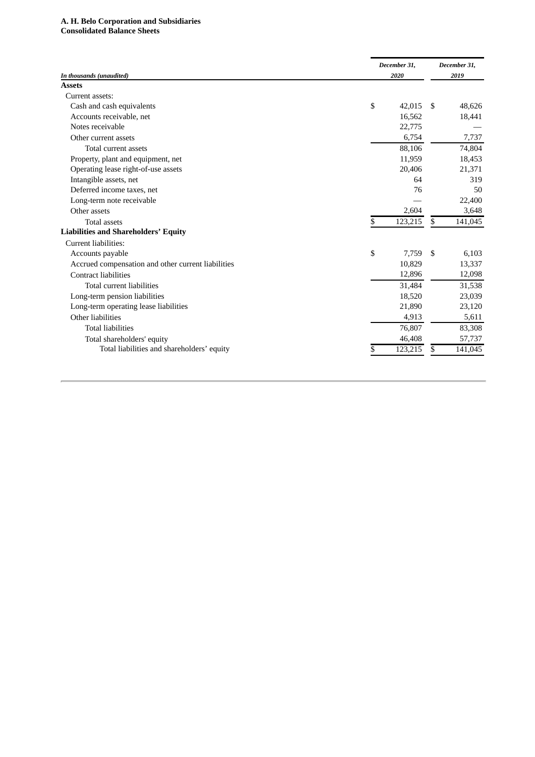#### **A. H. Belo Corporation and Subsidiaries Consolidated Balance Sheets**

|                                                    | December 31. | December 31.             |
|----------------------------------------------------|--------------|--------------------------|
| In thousands (unaudited)                           | 2020         | 2019                     |
| <b>Assets</b>                                      |              |                          |
| Current assets:                                    |              |                          |
| Cash and cash equivalents                          | \$           | 48,626<br>42,015<br>\$   |
| Accounts receivable, net                           |              | 16,562<br>18,441         |
| Notes receivable                                   |              | 22,775                   |
| Other current assets                               |              | 6,754<br>7,737           |
| Total current assets                               |              | 74,804<br>88,106         |
| Property, plant and equipment, net                 |              | 11,959<br>18,453         |
| Operating lease right-of-use assets                |              | 20,406<br>21,371         |
| Intangible assets, net                             |              | 64<br>319                |
| Deferred income taxes, net                         |              | 76<br>50                 |
| Long-term note receivable                          |              | 22,400                   |
| Other assets                                       |              | 2,604<br>3,648           |
| <b>Total assets</b>                                | \$           | 123,215<br>141,045<br>\$ |
| <b>Liabilities and Shareholders' Equity</b>        |              |                          |
| Current liabilities:                               |              |                          |
| Accounts payable                                   | \$           | 7,759<br>\$<br>6,103     |
| Accrued compensation and other current liabilities |              | 10,829<br>13,337         |
| <b>Contract liabilities</b>                        |              | 12,896<br>12,098         |
| Total current liabilities                          |              | 31,538<br>31,484         |
| Long-term pension liabilities                      |              | 23,039<br>18,520         |
| Long-term operating lease liabilities              |              | 21,890<br>23,120         |
| Other liabilities                                  |              | 5,611<br>4,913           |
| <b>Total liabilities</b>                           |              | 76,807<br>83,308         |
| Total shareholders' equity                         |              | 46,408<br>57,737         |
| Total liabilities and shareholders' equity         |              | 123,215<br>141,045<br>\$ |
|                                                    |              |                          |